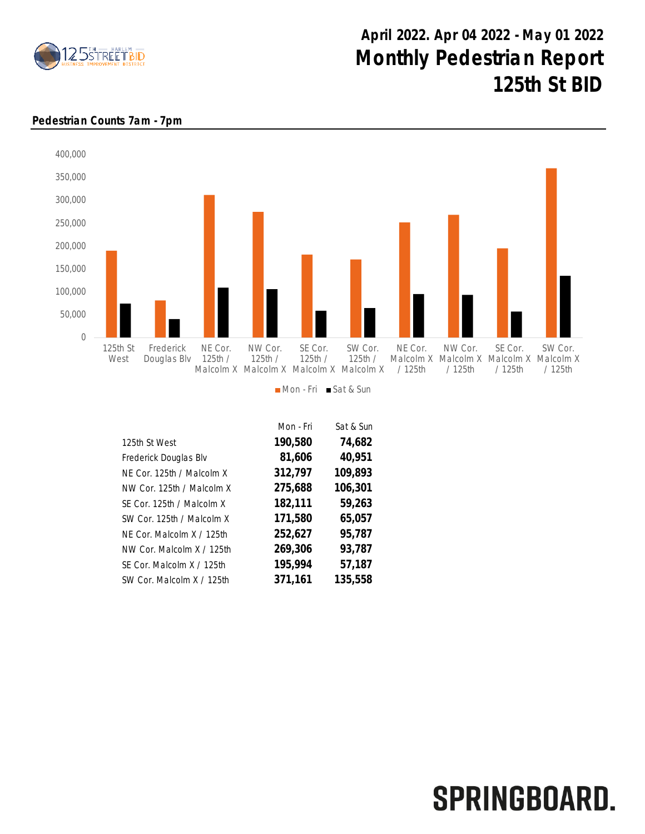

## April 2022. Apr 04 2022 - May 01 2022 Monthly Pedestrian Report 125th St BID



## Pedestrian Counts 7am - 7pm

Mon - Fri Sat & Sun

|                           | Mon - Fri | Sat & Sun |
|---------------------------|-----------|-----------|
| 125th St West             | 190,580   | 74,682    |
| Frederick Douglas Blv     | 81,606    | 40,951    |
| NE Cor. 125th / Malcolm X | 312,797   | 109,893   |
| NW Cor. 125th / Malcolm X | 275,688   | 106,301   |
| SE Cor. 125th / Malcolm X | 182,111   | 59,263    |
| SW Cor. 125th / Malcolm X | 171,580   | 65,057    |
| NF Cor. Malcolm X / 125th | 252,627   | 95,787    |
| NW Cor. Malcolm X / 125th | 269,306   | 93,787    |
| SF Cor. Malcolm X / 125th | 195,994   | 57,187    |
| SW Cor. Malcolm X / 125th | 371,161   | 135,558   |

## SPRINGBOARD.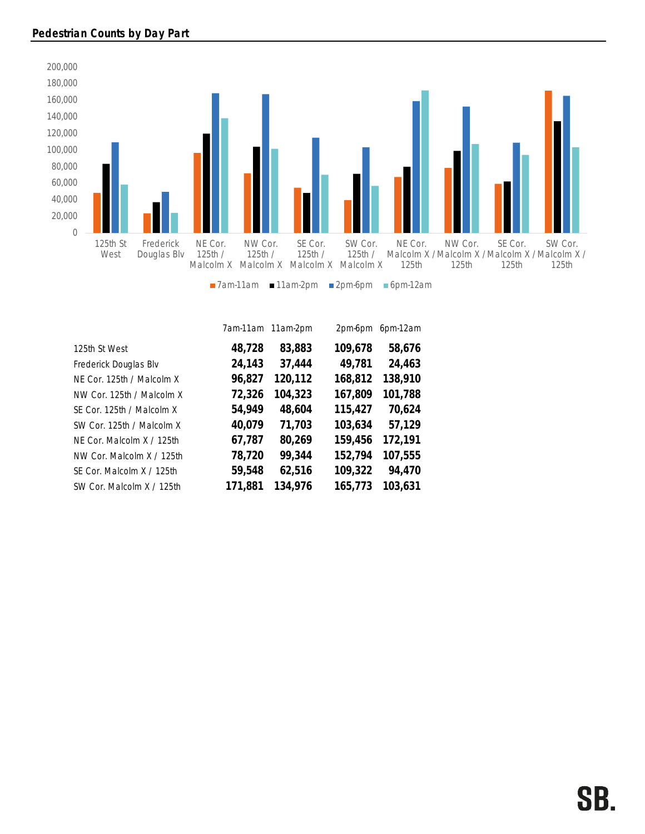

|                           |         | 7am-11am 11am-2pm | 2pm-6pm | 6pm-12am |
|---------------------------|---------|-------------------|---------|----------|
| 125th St West             | 48,728  | 83,883            | 109,678 | 58,676   |
| Frederick Douglas Blv     | 24,143  | 37,444            | 49,781  | 24,463   |
| NE Cor. 125th / Malcolm X | 96,827  | 120,112           | 168,812 | 138,910  |
| NW Cor. 125th / Malcolm X | 72,326  | 104,323           | 167,809 | 101,788  |
| SE Cor. 125th / Malcolm X | 54,949  | 48,604            | 115,427 | 70,624   |
| SW Cor. 125th / Malcolm X | 40,079  | 71,703            | 103,634 | 57,129   |
| NF Cor. Malcolm X / 125th | 67,787  | 80,269            | 159,456 | 172,191  |
| NW Cor. Malcolm X / 125th | 78,720  | 99,344            | 152,794 | 107,555  |
| SE Cor. Malcolm X / 125th | 59,548  | 62,516            | 109,322 | 94,470   |
| SW Cor. Malcolm X / 125th | 171,881 | 134,976           | 165,773 | 103,631  |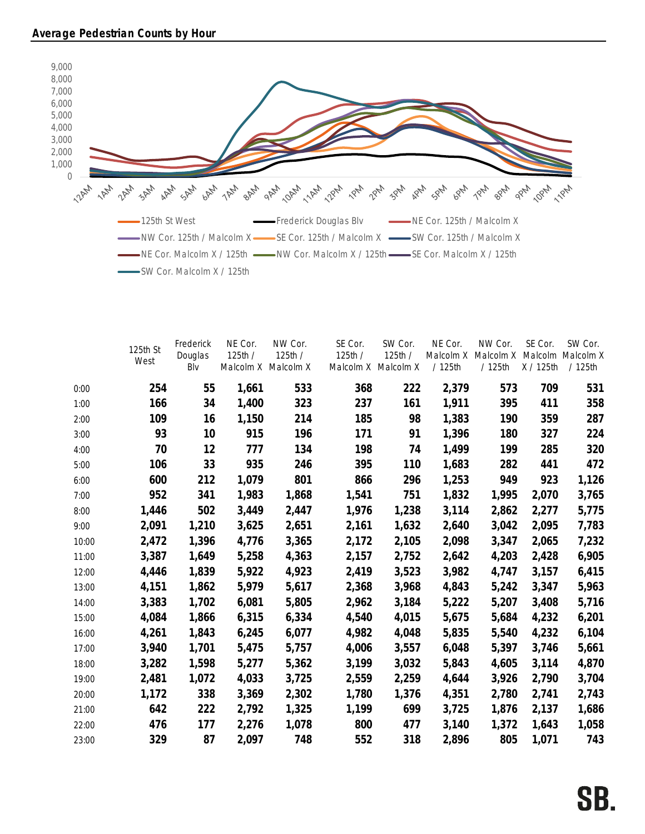

|       | 125th St<br>West | Frederick<br>Douglas<br>Blv | NE Cor.<br>125th / | NW Cor.<br>125th /<br>Malcolm X Malcolm X | SE Cor.<br>125th / | SW Cor.<br>125th /<br>Malcolm X Malcolm X | NE Cor.<br>Malcolm X<br>/125th | NW Cor.<br>Malcolm X<br>/ 125th | SE Cor.<br>X / 125th | SW Cor.<br>Malcolm Malcolm X<br>/125th |
|-------|------------------|-----------------------------|--------------------|-------------------------------------------|--------------------|-------------------------------------------|--------------------------------|---------------------------------|----------------------|----------------------------------------|
| 0:00  | 254              | 55                          | 1,661              | 533                                       | 368                | 222                                       | 2,379                          | 573                             | 709                  | 531                                    |
| 1:00  | 166              | 34                          | 1,400              | 323                                       | 237                | 161                                       | 1,911                          | 395                             | 411                  | 358                                    |
| 2:00  | 109              | 16                          | 1,150              | 214                                       | 185                | 98                                        | 1,383                          | 190                             | 359                  | 287                                    |
| 3:00  | 93               | 10                          | 915                | 196                                       | 171                | 91                                        | 1,396                          | 180                             | 327                  | 224                                    |
| 4:00  | 70               | 12                          | 777                | 134                                       | 198                | 74                                        | 1,499                          | 199                             | 285                  | 320                                    |
| 5:00  | 106              | 33                          | 935                | 246                                       | 395                | 110                                       | 1,683                          | 282                             | 441                  | 472                                    |
| 6:00  | 600              | 212                         | 1,079              | 801                                       | 866                | 296                                       | 1,253                          | 949                             | 923                  | 1,126                                  |
| 7:00  | 952              | 341                         | 1,983              | 1,868                                     | 1,541              | 751                                       | 1,832                          | 1,995                           | 2,070                | 3,765                                  |
| 8:00  | 1,446            | 502                         | 3,449              | 2,447                                     | 1,976              | 1,238                                     | 3,114                          | 2,862                           | 2,277                | 5,775                                  |
| 9:00  | 2,091            | 1,210                       | 3,625              | 2,651                                     | 2,161              | 1,632                                     | 2,640                          | 3,042                           | 2,095                | 7,783                                  |
| 10:00 | 2,472            | 1,396                       | 4,776              | 3,365                                     | 2,172              | 2,105                                     | 2,098                          | 3,347                           | 2,065                | 7,232                                  |
| 11:00 | 3,387            | 1,649                       | 5,258              | 4,363                                     | 2,157              | 2,752                                     | 2,642                          | 4,203                           | 2,428                | 6,905                                  |
| 12:00 | 4,446            | 1,839                       | 5,922              | 4,923                                     | 2,419              | 3,523                                     | 3,982                          | 4,747                           | 3,157                | 6,415                                  |
| 13:00 | 4,151            | 1,862                       | 5,979              | 5,617                                     | 2,368              | 3,968                                     | 4,843                          | 5,242                           | 3,347                | 5,963                                  |
| 14:00 | 3,383            | 1,702                       | 6,081              | 5,805                                     | 2,962              | 3,184                                     | 5,222                          | 5,207                           | 3,408                | 5,716                                  |
| 15:00 | 4,084            | 1,866                       | 6,315              | 6,334                                     | 4,540              | 4,015                                     | 5,675                          | 5,684                           | 4,232                | 6,201                                  |
| 16:00 | 4,261            | 1,843                       | 6,245              | 6,077                                     | 4,982              | 4,048                                     | 5,835                          | 5,540                           | 4,232                | 6,104                                  |
| 17:00 | 3,940            | 1,701                       | 5,475              | 5,757                                     | 4,006              | 3,557                                     | 6,048                          | 5,397                           | 3,746                | 5,661                                  |
| 18:00 | 3,282            | 1,598                       | 5,277              | 5,362                                     | 3,199              | 3,032                                     | 5,843                          | 4,605                           | 3,114                | 4,870                                  |
| 19:00 | 2,481            | 1,072                       | 4,033              | 3,725                                     | 2,559              | 2,259                                     | 4,644                          | 3,926                           | 2,790                | 3,704                                  |
| 20:00 | 1,172            | 338                         | 3,369              | 2,302                                     | 1,780              | 1,376                                     | 4,351                          | 2,780                           | 2,741                | 2,743                                  |
| 21:00 | 642              | 222                         | 2,792              | 1,325                                     | 1,199              | 699                                       | 3,725                          | 1,876                           | 2,137                | 1,686                                  |
| 22:00 | 476              | 177                         | 2,276              | 1,078                                     | 800                | 477                                       | 3,140                          | 1,372                           | 1,643                | 1,058                                  |
| 23:00 | 329              | 87                          | 2,097              | 748                                       | 552                | 318                                       | 2,896                          | 805                             | 1,071                | 743                                    |